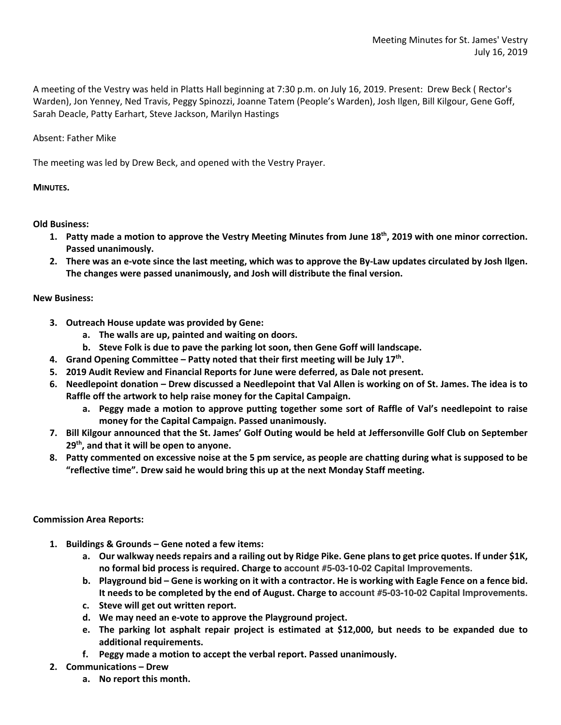A meeting of the Vestry was held in Platts Hall beginning at 7:30 p.m. on July 16, 2019. Present: Drew Beck ( Rector's Warden), Jon Yenney, Ned Travis, Peggy Spinozzi, Joanne Tatem (People's Warden), Josh Ilgen, Bill Kilgour, Gene Goff, Sarah Deacle, Patty Earhart, Steve Jackson, Marilyn Hastings

## Absent: Father Mike

The meeting was led by Drew Beck, and opened with the Vestry Prayer.

## **MINUTES.**

**Old Business:**

- **1. Patty made a motion to approve the Vestry Meeting Minutes from June 18th, 2019 with one minor correction. Passed unanimously.**
- **2. There was an e-vote since the last meeting, which was to approve the By-Law updates circulated by Josh Ilgen. The changes were passed unanimously, and Josh will distribute the final version.**

## **New Business:**

- **3. Outreach House update was provided by Gene:**
	- **a. The walls are up, painted and waiting on doors.**
	- **b. Steve Folk is due to pave the parking lot soon, then Gene Goff will landscape.**
- **4. Grand Opening Committee – Patty noted that their first meeting will be July 17th.**
- **5. 2019 Audit Review and Financial Reports for June were deferred, as Dale not present.**
- **6. Needlepoint donation – Drew discussed a Needlepoint that Val Allen is working on of St. James. The idea is to Raffle off the artwork to help raise money for the Capital Campaign.**
	- **a. Peggy made a motion to approve putting together some sort of Raffle of Val's needlepoint to raise money for the Capital Campaign. Passed unanimously.**
- **7. Bill Kilgour announced that the St. James' Golf Outing would be held at Jeffersonville Golf Club on September 29th, and that it will be open to anyone.**
- **8. Patty commented on excessive noise at the 5 pm service, as people are chatting during what is supposed to be "reflective time". Drew said he would bring this up at the next Monday Staff meeting.**

## **Commission Area Reports:**

- **1. Buildings & Grounds – Gene noted a few items:**
	- **a. Our walkway needs repairs and a railing out by Ridge Pike. Gene plans to get price quotes. If under \$1K, no formal bid process is required. Charge to account #5-03-10-02 Capital Improvements.**
	- **b. Playground bid – Gene is working on it with a contractor. He is working with Eagle Fence on a fence bid. It needs to be completed by the end of August. Charge to account #5-03-10-02 Capital Improvements.**
	- **c. Steve will get out written report.**
	- **d. We may need an e-vote to approve the Playground project.**
	- **e. The parking lot asphalt repair project is estimated at \$12,000, but needs to be expanded due to additional requirements.**
	- **f. Peggy made a motion to accept the verbal report. Passed unanimously.**
- **2. Communications – Drew**
	- **a. No report this month.**